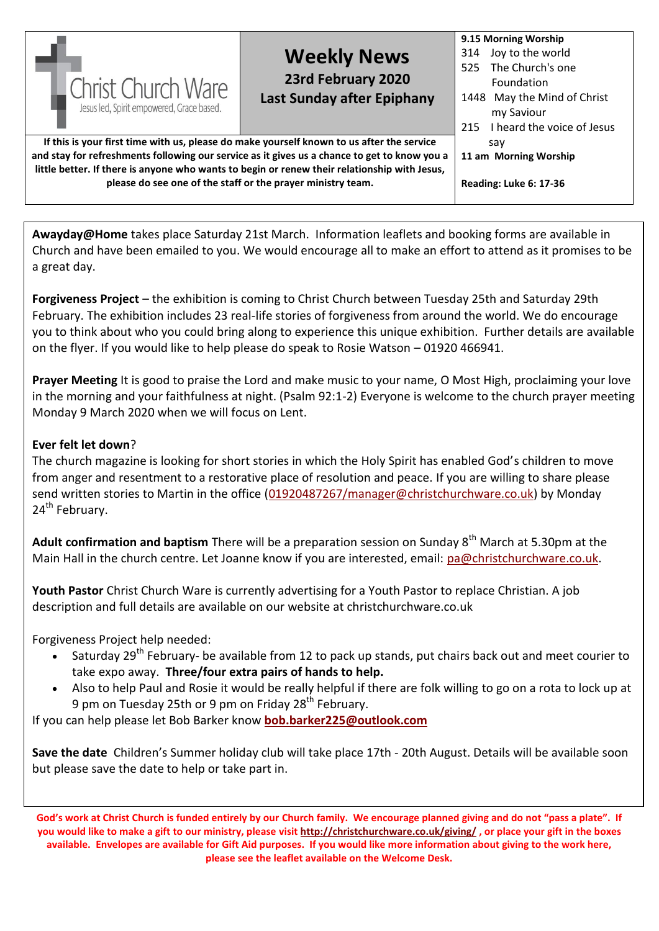| <b>Christ Church Ware</b><br>Jesus led, Spirit empowered, Grace based.                                                                                                                                                                                                                                                                                   | <b>Weekly News</b><br>23rd February 2020<br>Last Sunday after Epiphany | 9.15 Morning Worship<br>Joy to the world<br>314<br>The Church's one<br>525<br><b>Foundation</b><br>1448 May the Mind of Christ<br>my Saviour<br>I heard the voice of Jesus<br>215 |
|----------------------------------------------------------------------------------------------------------------------------------------------------------------------------------------------------------------------------------------------------------------------------------------------------------------------------------------------------------|------------------------------------------------------------------------|-----------------------------------------------------------------------------------------------------------------------------------------------------------------------------------|
| If this is your first time with us, please do make yourself known to us after the service<br>and stay for refreshments following our service as it gives us a chance to get to know you a<br>little better. If there is anyone who wants to begin or renew their relationship with Jesus,<br>please do see one of the staff or the prayer ministry team. | sav<br>11 am Morning Worship<br><b>Reading: Luke 6: 17-36</b>          |                                                                                                                                                                                   |

Awayday@Home takes place Saturday 21st March. Information leaflets and booking forms are available in Church and have been emailed to you. We would encourage all to make an effort to attend as it promises to be a great day.

**Forgiveness Project** – the exhibition is coming to Christ Church between Tuesday 25th and Saturday 29th February. The exhibition includes 23 real-life stories of forgiveness from around the world. We do encourage you to think about who you could bring along to experience this unique exhibition. Further details are available on the flyer. If you would like to help please do speak to Rosie Watson – 01920 466941.

**Prayer Meeting** It is good to praise the Lord and make music to your name, O Most High, proclaiming your love in the morning and your faithfulness at night. (Psalm 92:1-2) Everyone is welcome to the church prayer meeting Monday 9 March 2020 when we will focus on Lent.

## **Ever felt let down**?

The church magazine is looking for short stories in which the Holy Spirit has enabled God's children to move from anger and resentment to a restorative place of resolution and peace. If you are willing to share please send written stories to Martin in the office [\(01920487267/manager@christchurchware.co.uk\)](mailto:01920487267/manager@christchurchware.co.uk) by Monday 24<sup>th</sup> February.

Adult confirmation and baptism There will be a preparation session on Sunday 8<sup>th</sup> March at 5.30pm at the Main Hall in the church centre. Let Joanne know if you are interested, email: [pa@christchurchware.co.uk.](mailto:pa@christchurchware.co.uk)

**Youth Pastor** Christ Church Ware is currently advertising for a Youth Pastor to replace Christian. A job description and full details are available on our website at christchurchware.co.uk

Forgiveness Project help needed:

- Saturday 29<sup>th</sup> February- be available from 12 to pack up stands, put chairs back out and meet courier to take expo away. **Three/four extra pairs of hands to help.**
- Also to help Paul and Rosie it would be really helpful if there are folk willing to go on a rota to lock up at 9 pm on Tuesday 25th or 9 pm on Friday 28<sup>th</sup> February.

If you can help please let Bob Barker know **[bob.barker225@outlook.com](mailto:bob.barker225@outlook.com)**

**Save the date** Children's Summer holiday club will take place 17th - 20th August. Details will be available soon but please save the date to help or take part in.

**God's work at Christ Church is funded entirely by our Church family. We encourage planned giving and do not "pass a plate". If you would like to make a gift to our ministry, please visi[t http://christchurchware.co.uk/giving/](http://christchurchware.co.uk/giving/) , or place your gift in the boxes available. Envelopes are available for Gift Aid purposes. If you would like more information about giving to the work here, please see the leaflet available on the Welcome Desk.**